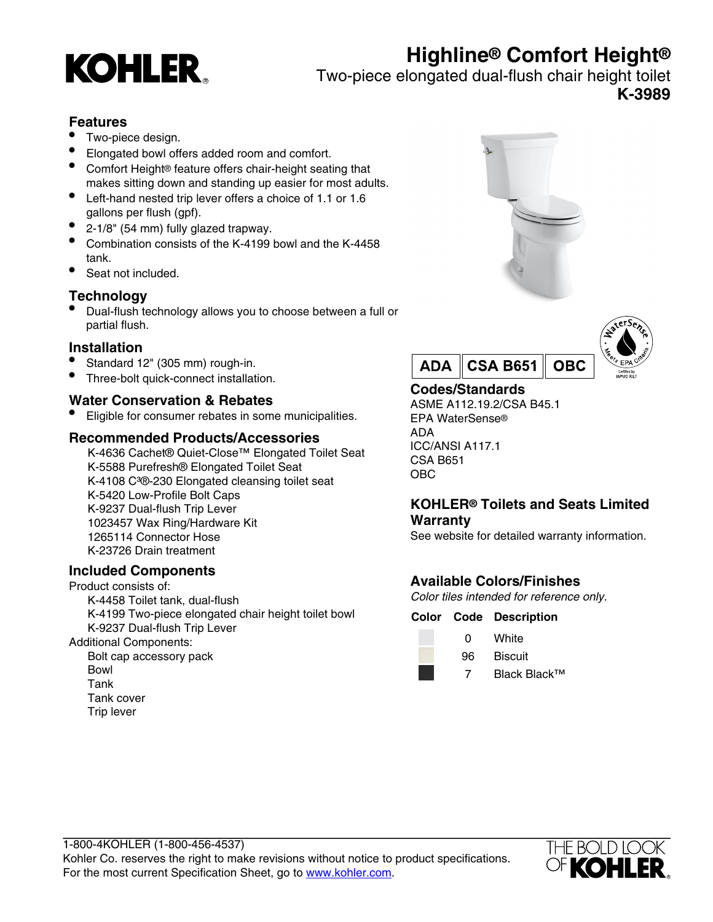# **Highline® Comfort Height®**



Two-piece elongated dual-flush chair height toilet

**K-3989**

## **Features**

- Two-piece design.
- Elongated bowl offers added room and comfort.
- Comfort Height® feature offers chair-height seating that makes sitting down and standing up easier for most adults.
- Left-hand nested trip lever offers a choice of 1.1 or 1.6 gallons per flush (gpf).
- 2-1/8" (54 mm) fully glazed trapway.
- Combination consists of the K-4199 bowl and the K-4458 tank.
- Seat not included.

## **Technology**

• Dual-flush technology allows you to choose between a full or partial flush.

### **Installation**

- Standard 12" (305 mm) rough-in.
- Three-bolt quick-connect installation.

### **Water Conservation & Rebates**

• Eligible for consumer rebates in some municipalities.

### **Recommended Products/Accessories**

K-4636 Cachet® Quiet-Close™ Elongated Toilet Seat K-5588 Purefresh® Elongated Toilet Seat K-4108 C<sup>3</sup>®-230 Elongated cleansing toilet seat K-5420 Low-Profile Bolt Caps K-9237 Dual-flush Trip Lever 1023457 Wax Ring/Hardware Kit 1265114 Connector Hose K-23726 Drain treatment

## **Included Components**

Product consists of: K-4458 Toilet tank, dual-flush K-4199 Two-piece elongated chair height toilet bowl K-9237 Dual-flush Trip Lever Additional Components:

Bolt cap accessory pack Bowl Tank Tank cover Trip lever







# **Codes/Standards**

ASME A112.19.2/CSA B45.1 EPA WaterSense® ADA ICC/ANSI A117.1 CSA B651 OBC

## **KOHLER® Toilets and Seats Limited Warranty**

See website for detailed warranty information.

# **Available Colors/Finishes**

Color tiles intended for reference only.

#### **Color Code Description**



0 White 96 Biscuit

7 Black Black™